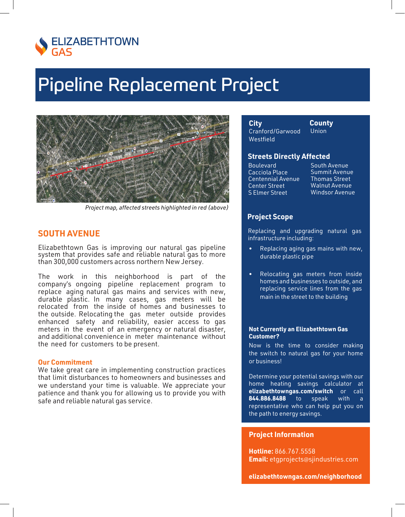

# **Pipeline Replacement Project**



Project map, affected streets highlighted in red (above)

# **SOUTH AVENUE**

Elizabethtown Gas is improving our natural gas pipeline system that provides safe and reliable natural gas to more than 300,000 customers across northern New Jersey.

The work in this neighborhood is part of the company's ongoing pipeline replacement program to replace aging natural gas mains and services with new, durable plastic. In many cases, gas meters will be relocated from the inside of homes and businesses to the outside. Relocating the gas meter outside provides enhanced safety and reliability, easier access to gas meters in the event of an emergency or natural disaster, and additional convenience in meter maintenance without the need for customers to be present.

### **Our Commitment**

We take great care in implementing construction practices that limit disturbances to homeowners and businesses and we understand your time is valuable. We appreciate your patience and thank you for allowing us to provide you with safe and reliable natural gas service.

City Cranford/Garwood Westfield

County Union

### **Streets Directly Affected**

**Boulevard** Cacciola Place Centennial Avenue **Center Street S Elmer Street** 

South Avenue **Summit Avenue Thomas Street Walnut Avenue Windsor Avenue** 

## **Project Scope**

Replacing and upgrading natural gas infrastructure including:

- Replacing aging gas mains with new, durable plastic pipe
- Relocating gas meters from inside homes and businesses to outside, and replacing service lines from the gas main in the street to the building

#### **Not Currently an Elizabethtown Gas Customer?**

Now is the time to consider making the switch to natural gas for your home or business!

Determine your potential savings with our home heating savings calculator at elizabethtowngas.com/switch or call 844.886.8488  $to$ speak with  $\overline{a}$ representative who can help put you on the path to energy savings.

## **Project Information**

Hotline: 866.767.5558 **Email:** etgprojects@sjindustries.com

elizabethtowngas.com/neighborhood